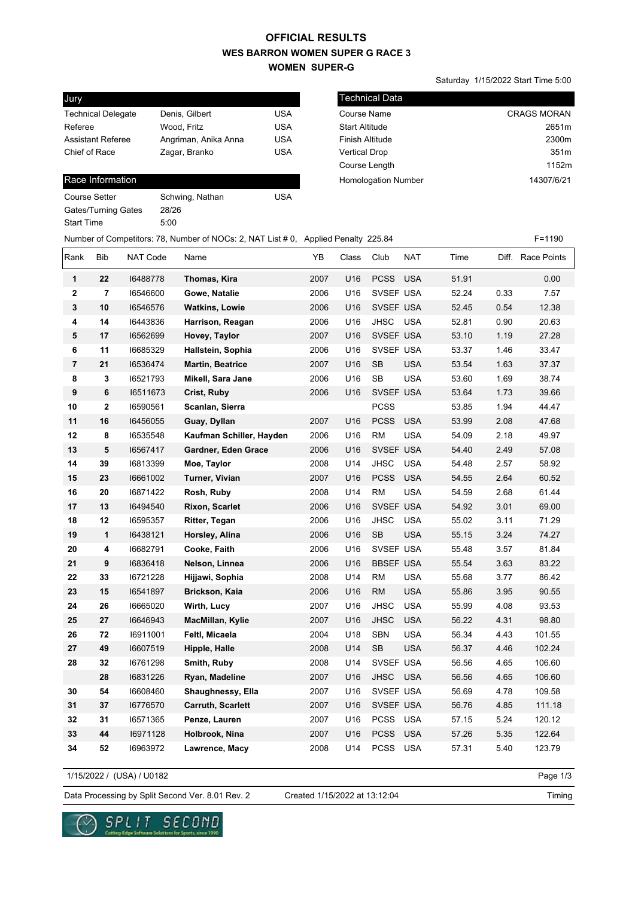## **WES BARRON WOMEN SUPER G RACE 3 WOMEN SUPER-G OFFICIAL RESULTS**

Technical Data

Saturday 1/15/2022 Start Time 5:00

| Jury                      |                      |            |
|---------------------------|----------------------|------------|
| <b>Technical Delegate</b> | Denis, Gilbert       | USA        |
| Referee                   | Wood, Fritz          | <b>USA</b> |
| <b>Assistant Referee</b>  | Angriman, Anika Anna | USA        |
| Chief of Race             | Zagar, Branko        | <b>USA</b> |
|                           |                      |            |

### Race Information

| Course Setter       | Schwing, Nathan | USA |
|---------------------|-----------------|-----|
| Gates/Turning Gates | 28/26           |     |
| Start Time          | 5:00            |     |
|                     |                 |     |

| Tecnnical Data             |                    |
|----------------------------|--------------------|
| <b>Course Name</b>         | <b>CRAGS MORAN</b> |
| <b>Start Altitude</b>      | 2651m              |
| Finish Altitude            | 2300m              |
| <b>Vertical Drop</b>       | 351m               |
| Course Length              | 1152m              |
| <b>Homologation Number</b> | 14307/6/21         |
|                            |                    |

### Number of Competitors: 78, Number of NOCs: 2, NAT List # 0, Applied Penalty 225.84 F=1190

| Rank                    | <b>Bib</b>              | NAT Code | Name                     | YB   | Class | Club             | <b>NAT</b> | Time  |      | Diff. Race Points |
|-------------------------|-------------------------|----------|--------------------------|------|-------|------------------|------------|-------|------|-------------------|
| 1                       | 22                      | 16488778 | Thomas, Kira             | 2007 | U16   | <b>PCSS</b>      | <b>USA</b> | 51.91 |      | 0.00              |
| $\overline{\mathbf{2}}$ | $\overline{7}$          | 16546600 | Gowe, Natalie            | 2006 | U16   | SVSEF USA        |            | 52.24 | 0.33 | 7.57              |
| 3                       | 10                      | 16546576 | <b>Watkins, Lowie</b>    | 2006 | U16   | SVSEF USA        |            | 52.45 | 0.54 | 12.38             |
| 4                       | 14                      | 16443836 | Harrison, Reagan         | 2006 | U16   | <b>JHSC</b>      | <b>USA</b> | 52.81 | 0.90 | 20.63             |
| 5                       | 17                      | 16562699 | Hovey, Taylor            | 2007 | U16   | SVSEF USA        |            | 53.10 | 1.19 | 27.28             |
| 6                       | 11                      | 16685329 | Hallstein, Sophia        | 2006 | U16   | SVSEF USA        |            | 53.37 | 1.46 | 33.47             |
| $\overline{7}$          | 21                      | 16536474 | <b>Martin, Beatrice</b>  | 2007 | U16   | <b>SB</b>        | <b>USA</b> | 53.54 | 1.63 | 37.37             |
| 8                       | 3                       | 16521793 | Mikell, Sara Jane        | 2006 | U16   | <b>SB</b>        | <b>USA</b> | 53.60 | 1.69 | 38.74             |
| 9                       | 6                       | 16511673 | Crist, Ruby              | 2006 | U16   | SVSEF USA        |            | 53.64 | 1.73 | 39.66             |
| 10                      | $\overline{\mathbf{2}}$ | 16590561 | Scanlan, Sierra          |      |       | <b>PCSS</b>      |            | 53.85 | 1.94 | 44.47             |
| 11                      | 16                      | 16456055 | Guay, Dyllan             | 2007 | U16   | <b>PCSS</b>      | <b>USA</b> | 53.99 | 2.08 | 47.68             |
| 12                      | 8                       | 16535548 | Kaufman Schiller, Hayden | 2006 | U16   | <b>RM</b>        | <b>USA</b> | 54.09 | 2.18 | 49.97             |
| 13                      | 5                       | 16567417 | Gardner, Eden Grace      | 2006 | U16   | SVSEF USA        |            | 54.40 | 2.49 | 57.08             |
| 14                      | 39                      | 16813399 | Moe, Taylor              | 2008 | U14   | <b>JHSC</b>      | <b>USA</b> | 54.48 | 2.57 | 58.92             |
| 15                      | 23                      | 16661002 | Turner, Vivian           | 2007 | U16   | <b>PCSS</b>      | <b>USA</b> | 54.55 | 2.64 | 60.52             |
| 16                      | 20                      | 16871422 | Rosh, Ruby               | 2008 | U14   | <b>RM</b>        | <b>USA</b> | 54.59 | 2.68 | 61.44             |
| 17                      | 13                      | 16494540 | <b>Rixon, Scarlet</b>    | 2006 | U16   | SVSEF USA        |            | 54.92 | 3.01 | 69.00             |
| 18                      | 12                      | 16595357 | Ritter, Tegan            | 2006 | U16   | <b>JHSC</b>      | <b>USA</b> | 55.02 | 3.11 | 71.29             |
| 19                      | 1                       | 16438121 | Horsley, Alina           | 2006 | U16   | SB               | <b>USA</b> | 55.15 | 3.24 | 74.27             |
| 20                      | 4                       | 16682791 | Cooke, Faith             | 2006 | U16   | SVSEF USA        |            | 55.48 | 3.57 | 81.84             |
| 21                      | 9                       | 16836418 | Nelson, Linnea           | 2006 | U16   | <b>BBSEF USA</b> |            | 55.54 | 3.63 | 83.22             |
| 22                      | 33                      | 16721228 | Hijjawi, Sophia          | 2008 | U14   | <b>RM</b>        | <b>USA</b> | 55.68 | 3.77 | 86.42             |
| 23                      | 15                      | 16541897 | <b>Brickson, Kaia</b>    | 2006 | U16   | <b>RM</b>        | <b>USA</b> | 55.86 | 3.95 | 90.55             |
| 24                      | 26                      | 16665020 | Wirth, Lucy              | 2007 | U16   | JHSC             | <b>USA</b> | 55.99 | 4.08 | 93.53             |
| 25                      | 27                      | 16646943 | MacMillan, Kylie         | 2007 | U16   | <b>JHSC</b>      | <b>USA</b> | 56.22 | 4.31 | 98.80             |
| 26                      | 72                      | 16911001 | Feltl, Micaela           | 2004 | U18   | <b>SBN</b>       | <b>USA</b> | 56.34 | 4.43 | 101.55            |
| 27                      | 49                      | 16607519 | Hipple, Halle            | 2008 | U14   | <b>SB</b>        | <b>USA</b> | 56.37 | 4.46 | 102.24            |
| 28                      | 32                      | 16761298 | Smith, Ruby              | 2008 | U14   | SVSEF USA        |            | 56.56 | 4.65 | 106.60            |
|                         | 28                      | 16831226 | Ryan, Madeline           | 2007 | U16   | <b>JHSC</b>      | <b>USA</b> | 56.56 | 4.65 | 106.60            |
| 30                      | 54                      | 16608460 | Shaughnessy, Ella        | 2007 | U16   | SVSEF USA        |            | 56.69 | 4.78 | 109.58            |
| 31                      | 37                      | 16776570 | <b>Carruth, Scarlett</b> | 2007 | U16   | SVSEF USA        |            | 56.76 | 4.85 | 111.18            |
| 32                      | 31                      | 16571365 | Penze, Lauren            | 2007 | U16   | <b>PCSS</b>      | <b>USA</b> | 57.15 | 5.24 | 120.12            |
| 33                      | 44                      | 16971128 | Holbrook, Nina           | 2007 | U16   | <b>PCSS</b>      | <b>USA</b> | 57.26 | 5.35 | 122.64            |
| 34                      | 52                      | 16963972 | Lawrence, Macy           | 2008 | U14   | <b>PCSS</b>      | <b>USA</b> | 57.31 | 5.40 | 123.79            |

1/15/2022 / (USA) / U0182

Page 1/3

### Data Processing by Split Second Ver. 8.01 Rev. 2 Created 1/15/2022 at 13:12:04

Created 1/15/2022 at 13:12:04

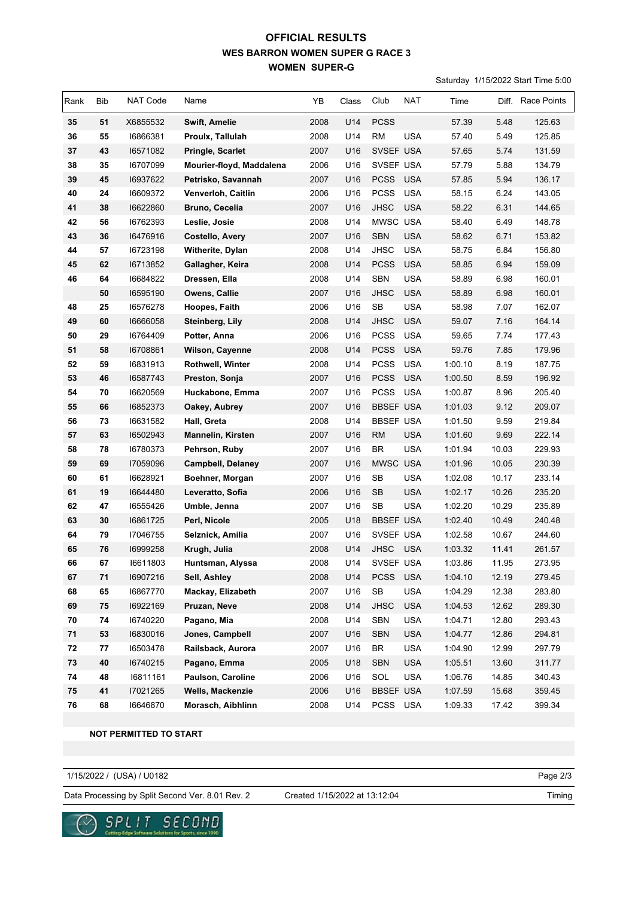## **WES BARRON WOMEN SUPER G RACE 3 WOMEN SUPER-G OFFICIAL RESULTS**

Saturday 1/15/2022 Start Time 5:00

| Rank | Bib | NAT Code | Name                     | YB   | Class | Club                              | <b>NAT</b> | Time    | Diff. | <b>Race Points</b> |
|------|-----|----------|--------------------------|------|-------|-----------------------------------|------------|---------|-------|--------------------|
| 35   | 51  | X6855532 | <b>Swift, Amelie</b>     | 2008 | U14   | <b>PCSS</b>                       |            | 57.39   | 5.48  | 125.63             |
| 36   | 55  | 16866381 | Proulx, Tallulah         | 2008 | U14   | <b>RM</b>                         | <b>USA</b> | 57.40   | 5.49  | 125.85             |
| 37   | 43  | 16571082 | Pringle, Scarlet         | 2007 | U16   | SVSEF USA                         |            | 57.65   | 5.74  | 131.59             |
| 38   | 35  | 16707099 | Mourier-floyd, Maddalena | 2006 | U16   | SVSEF USA                         |            | 57.79   | 5.88  | 134.79             |
| 39   | 45  | 16937622 | Petrisko, Savannah       | 2007 | U16   | <b>PCSS</b>                       | <b>USA</b> | 57.85   | 5.94  | 136.17             |
| 40   | 24  | 16609372 | Venverloh, Caitlin       | 2006 | U16   | <b>PCSS</b>                       | <b>USA</b> | 58.15   | 6.24  | 143.05             |
| 41   | 38  | 16622860 | Bruno, Cecelia           | 2007 | U16   | <b>JHSC</b>                       | <b>USA</b> | 58.22   | 6.31  | 144.65             |
| 42   | 56  | 16762393 | Leslie, Josie            | 2008 | U14   | MWSC USA                          |            | 58.40   | 6.49  | 148.78             |
| 43   | 36  | 16476916 | <b>Costello, Avery</b>   | 2007 | U16   | <b>SBN</b>                        | <b>USA</b> | 58.62   | 6.71  | 153.82             |
| 44   | 57  | 16723198 | Witherite, Dylan         | 2008 | U14   | <b>JHSC</b>                       | <b>USA</b> | 58.75   | 6.84  | 156.80             |
| 45   | 62  | 16713852 | Gallagher, Keira         | 2008 | U14   | <b>PCSS</b>                       | <b>USA</b> | 58.85   | 6.94  | 159.09             |
| 46   | 64  | 16684822 | Dressen, Ella            | 2008 | U14   | <b>SBN</b>                        | <b>USA</b> | 58.89   | 6.98  | 160.01             |
|      | 50  | 16595190 | Owens, Callie            | 2007 | U16   | <b>JHSC</b>                       | <b>USA</b> | 58.89   | 6.98  | 160.01             |
| 48   | 25  | 16576278 | Hoopes, Faith            | 2006 | U16   | SB                                | <b>USA</b> | 58.98   | 7.07  | 162.07             |
| 49   | 60  | 16666058 | Steinberg, Lily          | 2008 | U14   | <b>JHSC</b>                       | <b>USA</b> | 59.07   | 7.16  | 164.14             |
| 50   | 29  | 16764409 | Potter, Anna             | 2006 | U16   | <b>PCSS</b>                       | <b>USA</b> | 59.65   | 7.74  | 177.43             |
| 51   | 58  | 16708861 | Wilson, Cayenne          | 2008 | U14   | <b>PCSS</b>                       | <b>USA</b> | 59.76   | 7.85  | 179.96             |
| 52   | 59  | 16831913 | Rothwell, Winter         | 2008 | U14   | <b>PCSS</b>                       | <b>USA</b> | 1:00.10 | 8.19  | 187.75             |
| 53   | 46  | 16587743 | Preston, Sonja           | 2007 | U16   | <b>PCSS</b>                       | <b>USA</b> | 1:00.50 | 8.59  | 196.92             |
| 54   | 70  | 16620569 | Huckabone, Emma          | 2007 | U16   | PCSS                              | <b>USA</b> | 1:00.87 | 8.96  | 205.40             |
| 55   | 66  | 16852373 | Oakey, Aubrey            | 2007 | U16   | <b>BBSEF USA</b>                  |            | 1:01.03 | 9.12  | 209.07             |
| 56   | 73  | 16631582 | Hall, Greta              | 2008 | U14   | <b>BBSEF USA</b>                  |            | 1:01.50 | 9.59  | 219.84             |
| 57   | 63  | 16502943 | <b>Mannelin, Kirsten</b> | 2007 | U16   | <b>RM</b>                         | <b>USA</b> | 1:01.60 | 9.69  | 222.14             |
| 58   | 78  | 16780373 | Pehrson, Ruby            | 2007 | U16   | $\ensuremath{\mathsf{BR}}\xspace$ | <b>USA</b> | 1:01.94 | 10.03 | 229.93             |
| 59   | 69  | 17059096 | <b>Campbell, Delaney</b> | 2007 | U16   | <b>MWSC</b>                       | <b>USA</b> | 1:01.96 | 10.05 | 230.39             |
| 60   | 61  | 16628921 | Boehner, Morgan          | 2007 | U16   | SB                                | <b>USA</b> | 1:02.08 | 10.17 | 233.14             |
| 61   | 19  | 16644480 | Leveratto, Sofia         | 2006 | U16   | <b>SB</b>                         | <b>USA</b> | 1:02.17 | 10.26 | 235.20             |
| 62   | 47  | 16555426 | Umble, Jenna             | 2007 | U16   | SB                                | <b>USA</b> | 1:02.20 | 10.29 | 235.89             |
| 63   | 30  | 16861725 | Perl, Nicole             | 2005 | U18   | <b>BBSEF USA</b>                  |            | 1:02.40 | 10.49 | 240.48             |
| 64   | 79  | 17046755 | Selznick, Amilia         | 2007 | U16   | SVSEF USA                         |            | 1:02.58 | 10.67 | 244.60             |
| 65   | 76  | 16999258 | Krugh, Julia             | 2008 | U14   | <b>JHSC</b>                       | <b>USA</b> | 1:03.32 | 11.41 | 261.57             |
| 66   | 67  | 16611803 | Huntsman, Alyssa         | 2008 | U14   | SVSEF USA                         |            | 1:03.86 | 11.95 | 273.95             |
| 67   | 71  | 16907216 | Sell, Ashley             | 2008 | U14   | <b>PCSS</b>                       | <b>USA</b> | 1:04.10 | 12.19 | 279.45             |
| 68   | 65  | 16867770 | Mackay, Elizabeth        | 2007 | U16   | $\mathsf{SB}\xspace$              | <b>USA</b> | 1:04.29 | 12.38 | 283.80             |
| 69   | 75  | 16922169 | Pruzan, Neve             | 2008 | U14   | <b>JHSC</b>                       | <b>USA</b> | 1:04.53 | 12.62 | 289.30             |
| 70   | 74  | 16740220 | Pagano, Mia              | 2008 | U14   | SBN                               | <b>USA</b> | 1:04.71 | 12.80 | 293.43             |
| 71   | 53  | 16830016 | Jones, Campbell          | 2007 | U16   | SBN                               | <b>USA</b> | 1:04.77 | 12.86 | 294.81             |
| 72   | 77  | 16503478 | Railsback, Aurora        | 2007 | U16   | BR                                | <b>USA</b> | 1:04.90 | 12.99 | 297.79             |
| 73   | 40  | 16740215 | Pagano, Emma             | 2005 | U18   | <b>SBN</b>                        | <b>USA</b> | 1:05.51 | 13.60 | 311.77             |
| 74   | 48  | 16811161 | Paulson, Caroline        | 2006 | U16   | SOL                               | <b>USA</b> | 1:06.76 | 14.85 | 340.43             |
| 75   | 41  | 17021265 | Wells, Mackenzie         | 2006 | U16   | <b>BBSEF USA</b>                  |            | 1:07.59 | 15.68 | 359.45             |
| 76   | 68  | 16646870 | Morasch, Aibhlinn        | 2008 | U14   | PCSS USA                          |            | 1:09.33 | 17.42 | 399.34             |

 **NOT PERMITTED TO START**

1/15/2022 / (USA) / U0182

Page 2/3

Data Processing by Split Second Ver. 8.01 Rev. 2 Created 1/15/2022 at 13:12:04

Created 1/15/2022 at 13:12:04